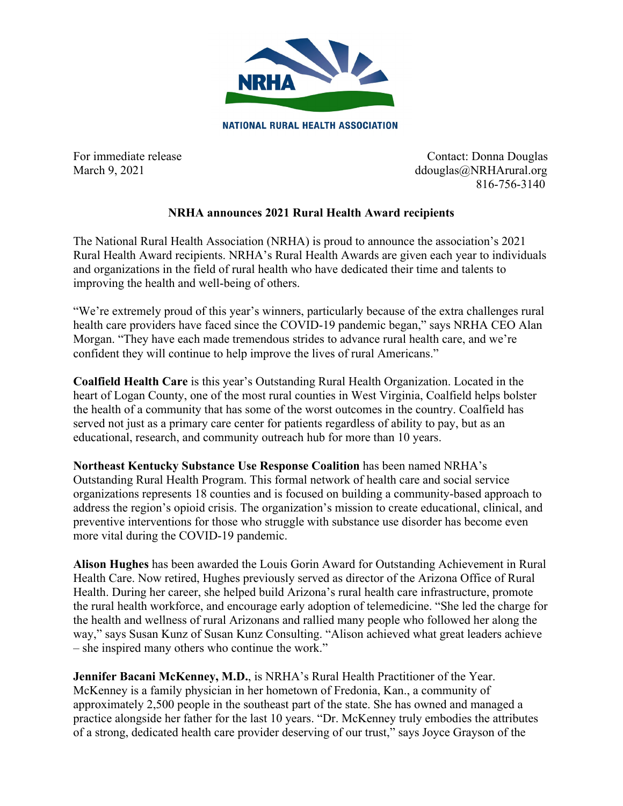

**NATIONAL RURAL HEALTH ASSOCIATION** 

For immediate release Contact: Donna Douglas March 9, 2021 ddouglas@NRHArural.org 816-756-3140

## **NRHA announces 2021 Rural Health Award recipients**

The National Rural Health Association (NRHA) is proud to announce the association's 2021 Rural Health Award recipients. NRHA's Rural Health Awards are given each year to individuals and organizations in the field of rural health who have dedicated their time and talents to improving the health and well-being of others.

"We're extremely proud of this year's winners, particularly because of the extra challenges rural health care providers have faced since the COVID-19 pandemic began," says NRHA CEO Alan Morgan. "They have each made tremendous strides to advance rural health care, and we're confident they will continue to help improve the lives of rural Americans."

**Coalfield Health Care** is this year's Outstanding Rural Health Organization. Located in the heart of Logan County, one of the most rural counties in West Virginia, Coalfield helps bolster the health of a community that has some of the worst outcomes in the country. Coalfield has served not just as a primary care center for patients regardless of ability to pay, but as an educational, research, and community outreach hub for more than 10 years.

**Northeast Kentucky Substance Use Response Coalition** has been named NRHA's Outstanding Rural Health Program. This formal network of health care and social service organizations represents 18 counties and is focused on building a community-based approach to address the region's opioid crisis. The organization's mission to create educational, clinical, and preventive interventions for those who struggle with substance use disorder has become even more vital during the COVID-19 pandemic.

**Alison Hughes** has been awarded the Louis Gorin Award for Outstanding Achievement in Rural Health Care. Now retired, Hughes previously served as director of the Arizona Office of Rural Health. During her career, she helped build Arizona's rural health care infrastructure, promote the rural health workforce, and encourage early adoption of telemedicine. "She led the charge for the health and wellness of rural Arizonans and rallied many people who followed her along the way," says Susan Kunz of Susan Kunz Consulting. "Alison achieved what great leaders achieve – she inspired many others who continue the work."

**Jennifer Bacani McKenney, M.D.**, is NRHA's Rural Health Practitioner of the Year. McKenney is a family physician in her hometown of Fredonia, Kan., a community of approximately 2,500 people in the southeast part of the state. She has owned and managed a practice alongside her father for the last 10 years. "Dr. McKenney truly embodies the attributes of a strong, dedicated health care provider deserving of our trust," says Joyce Grayson of the